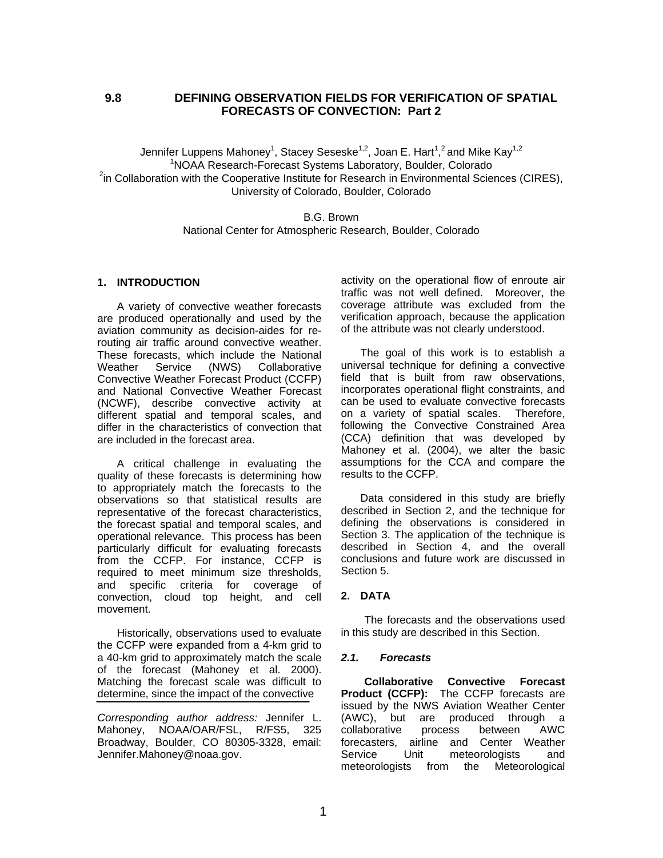## **9.8 DEFINING OBSERVATION FIELDS FOR VERIFICATION OF SPATIAL FORECASTS OF CONVECTION: Part 2**

Jennifer Luppens Mahoney $^1$ , Stacey Seseske $^{1,2}$ , Joan E. Hart $^{1,2}$ and Mike Kay $^{1,2}$ 1 NOAA Research-Forecast Systems Laboratory, Boulder, Colorado  $2$ in Collaboration with the Cooperative Institute for Research in Environmental Sciences (CIRES), University of Colorado, Boulder, Colorado

> B.G. Brown National Center for Atmospheric Research, Boulder, Colorado

## **1. INTRODUCTION**

A variety of convective weather forecasts are produced operationally and used by the aviation community as decision-aides for rerouting air traffic around convective weather. These forecasts, which include the National Weather Service (NWS) Collaborative Convective Weather Forecast Product (CCFP) and National Convective Weather Forecast (NCWF), describe convective activity at different spatial and temporal scales, and differ in the characteristics of convection that are included in the forecast area.

A critical challenge in evaluating the quality of these forecasts is determining how to appropriately match the forecasts to the observations so that statistical results are representative of the forecast characteristics, the forecast spatial and temporal scales, and operational relevance. This process has been particularly difficult for evaluating forecasts from the CCFP. For instance, CCFP is required to meet minimum size thresholds, and specific criteria for coverage of convection, cloud top height, and cell movement.

Historically, observations used to evaluate the CCFP were expanded from a 4-km grid to a 40-km grid to approximately match the scale of the forecast (Mahoney et al. 2000). Matching the forecast scale was difficult to determine, since the impact of the convective

*Corresponding author address:* Jennifer L. Mahoney, NOAA/OAR/FSL, R/FS5, 325 Broadway, Boulder, CO 80305-3328, email: Jennifer.Mahoney@noaa.gov.

activity on the operational flow of enroute air traffic was not well defined. Moreover, the coverage attribute was excluded from the verification approach, because the application of the attribute was not clearly understood.

The goal of this work is to establish a universal technique for defining a convective field that is built from raw observations, incorporates operational flight constraints, and can be used to evaluate convective forecasts on a variety of spatial scales. Therefore, following the Convective Constrained Area (CCA) definition that was developed by Mahoney et al. (2004), we alter the basic assumptions for the CCA and compare the results to the CCFP.

Data considered in this study are briefly described in Section 2, and the technique for defining the observations is considered in Section 3. The application of the technique is described in Section 4, and the overall conclusions and future work are discussed in Section 5.

## **2. DATA**

The forecasts and the observations used in this study are described in this Section.

#### *2.1. Forecasts*

**Collaborative Convective Forecast Product (CCFP):** The CCFP forecasts are issued by the NWS Aviation Weather Center (AWC), but are produced through a collaborative process between AWC forecasters, airline and Center Weather Service Unit meteorologists and meteorologists from the Meteorological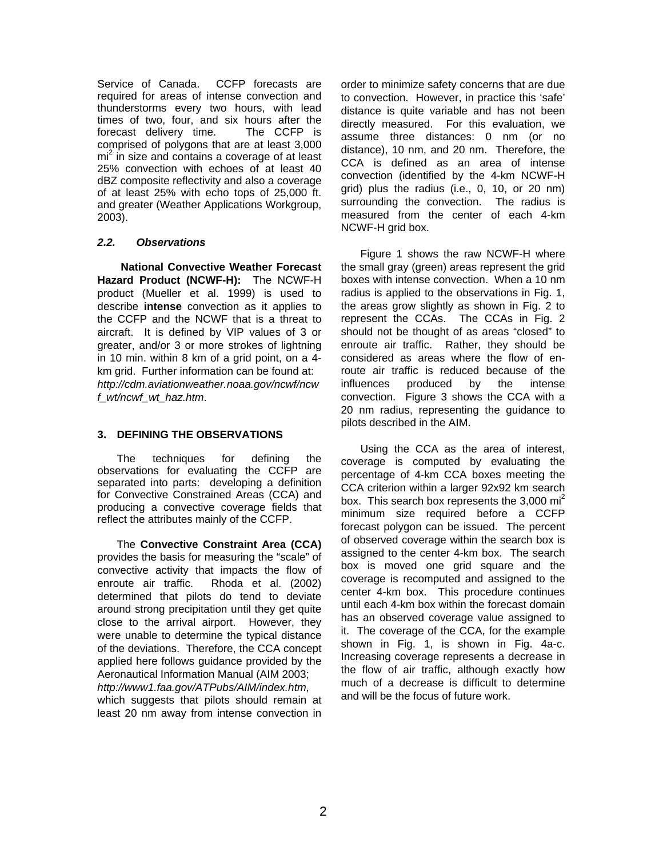Service of Canada. CCFP forecasts are required for areas of intense convection and thunderstorms every two hours, with lead times of two, four, and six hours after the forecast delivery time. The CCFP is comprised of polygons that are at least 3,000 mi<sup>2</sup> in size and contains a coverage of at least 25% convection with echoes of at least 40 dBZ composite reflectivity and also a coverage of at least 25% with echo tops of 25,000 ft. and greater (Weather Applications Workgroup, 2003).

# *2.2. Observations*

**National Convective Weather Forecast Hazard Product (NCWF-H):** The NCWF-H product (Mueller et al. 1999) is used to describe **intense** convection as it applies to the CCFP and the NCWF that is a threat to aircraft. It is defined by VIP values of 3 or greater, and/or 3 or more strokes of lightning in 10 min. within 8 km of a grid point, on a 4 km grid. Further information can be found at: *http://cdm.aviationweather.noaa.gov/ncwf/ncw f\_wt/ncwf\_wt\_haz.htm*.

# **3. DEFINING THE OBSERVATIONS**

The techniques for defining the observations for evaluating the CCFP are separated into parts: developing a definition for Convective Constrained Areas (CCA) and producing a convective coverage fields that reflect the attributes mainly of the CCFP.

The **Convective Constraint Area (CCA)** provides the basis for measuring the "scale" of convective activity that impacts the flow of enroute air traffic. Rhoda et al. (2002) determined that pilots do tend to deviate around strong precipitation until they get quite close to the arrival airport. However, they were unable to determine the typical distance of the deviations. Therefore, the CCA concept applied here follows guidance provided by the Aeronautical Information Manual (AIM 2003; *http://www1.faa.gov/ATPubs/AIM/index.htm*, which suggests that pilots should remain at

least 20 nm away from intense convection in

order to minimize safety concerns that are due to convection. However, in practice this 'safe' distance is quite variable and has not been directly measured. For this evaluation, we assume three distances: 0 nm (or no distance), 10 nm, and 20 nm. Therefore, the CCA is defined as an area of intense convection (identified by the 4-km NCWF-H grid) plus the radius (i.e., 0, 10, or 20 nm) surrounding the convection. The radius is measured from the center of each 4-km NCWF-H grid box.

Figure 1 shows the raw NCWF-H where the small gray (green) areas represent the grid boxes with intense convection. When a 10 nm radius is applied to the observations in Fig. 1, the areas grow slightly as shown in Fig. 2 to represent the CCAs. The CCAs in Fig. 2 should not be thought of as areas "closed" to enroute air traffic. Rather, they should be considered as areas where the flow of enroute air traffic is reduced because of the influences produced by the intense convection. Figure 3 shows the CCA with a 20 nm radius, representing the guidance to pilots described in the AIM.

Using the CCA as the area of interest, coverage is computed by evaluating the percentage of 4-km CCA boxes meeting the CCA criterion within a larger 92x92 km search box. This search box represents the  $3,000$  mi<sup>2</sup> minimum size required before a CCFP forecast polygon can be issued. The percent of observed coverage within the search box is assigned to the center 4-km box. The search box is moved one grid square and the coverage is recomputed and assigned to the center 4-km box. This procedure continues until each 4-km box within the forecast domain has an observed coverage value assigned to it. The coverage of the CCA, for the example shown in Fig. 1, is shown in Fig. 4a-c. Increasing coverage represents a decrease in the flow of air traffic, although exactly how much of a decrease is difficult to determine and will be the focus of future work.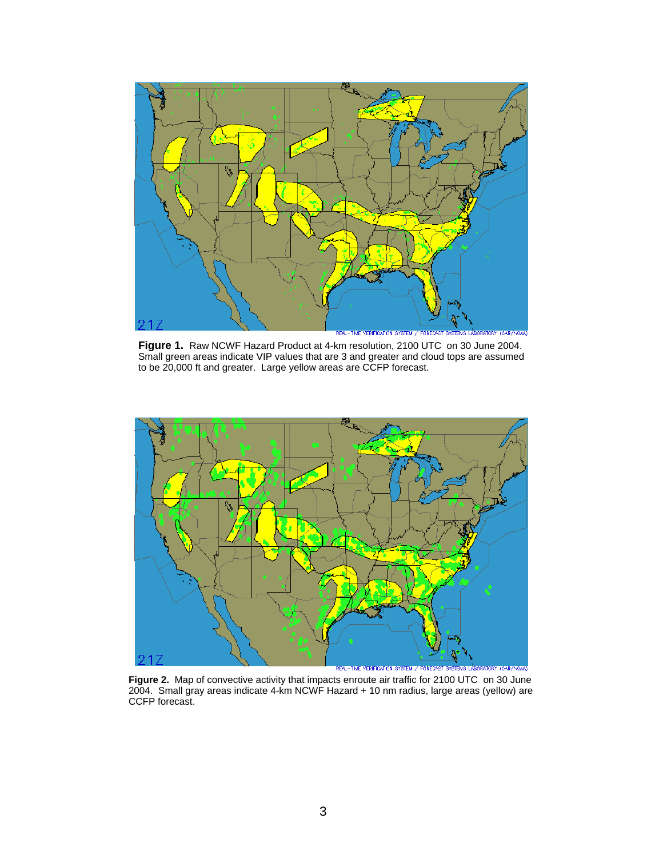

**Figure 1.** Raw NCWF Hazard Product at 4-km resolution, 2100 UTC on 30 June 2004. Small green areas indicate VIP values that are 3 and greater and cloud tops are assumed to be 20,000 ft and greater. Large yellow areas are CCFP forecast.



**Figure 2.** Map of convective activity that impacts enroute air traffic for 2100 UTC on 30 June 2004. Small gray areas indicate 4-km NCWF Hazard + 10 nm radius, large areas (yellow) are CCFP forecast.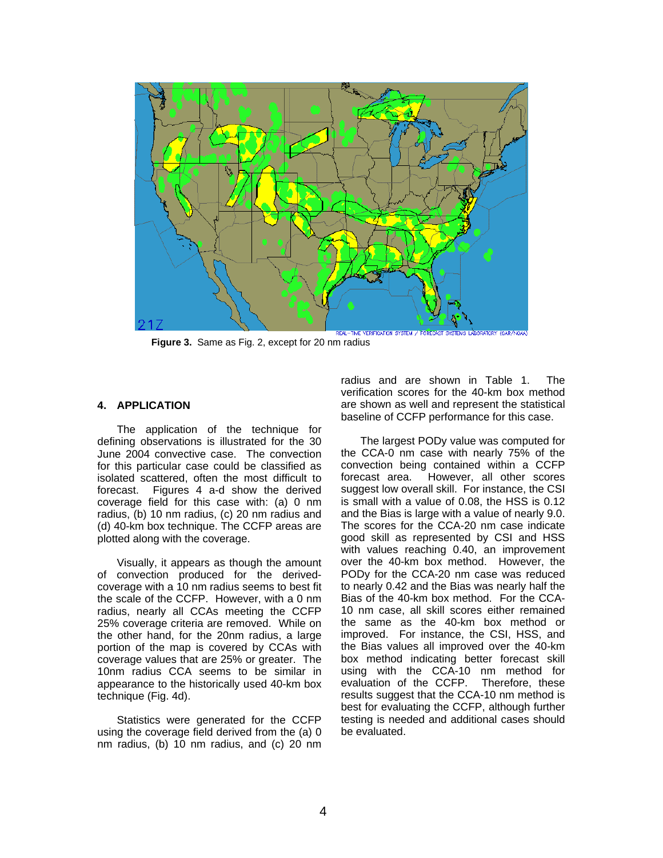

**Figure 3.** Same as Fig. 2, except for 20 nm radius

## **4. APPLICATION**

The application of the technique for defining observations is illustrated for the 30 June 2004 convective case. The convection for this particular case could be classified as isolated scattered, often the most difficult to forecast. Figures 4 a-d show the derived coverage field for this case with: (a) 0 nm radius, (b) 10 nm radius, (c) 20 nm radius and (d) 40-km box technique. The CCFP areas are plotted along with the coverage.

Visually, it appears as though the amount of convection produced for the derivedcoverage with a 10 nm radius seems to best fit the scale of the CCFP. However, with a 0 nm radius, nearly all CCAs meeting the CCFP 25% coverage criteria are removed. While on the other hand, for the 20nm radius, a large portion of the map is covered by CCAs with coverage values that are 25% or greater. The 10nm radius CCA seems to be similar in appearance to the historically used 40-km box technique (Fig. 4d).

Statistics were generated for the CCFP using the coverage field derived from the (a) 0 nm radius, (b) 10 nm radius, and (c) 20 nm

radius and are shown in Table 1. The verification scores for the 40-km box method are shown as well and represent the statistical baseline of CCFP performance for this case.

The largest PODy value was computed for the CCA-0 nm case with nearly 75% of the convection being contained within a CCFP forecast area. However, all other scores suggest low overall skill. For instance, the CSI is small with a value of 0.08, the HSS is 0.12 and the Bias is large with a value of nearly 9.0. The scores for the CCA-20 nm case indicate good skill as represented by CSI and HSS with values reaching 0.40, an improvement over the 40-km box method. However, the PODy for the CCA-20 nm case was reduced to nearly 0.42 and the Bias was nearly half the Bias of the 40-km box method. For the CCA-10 nm case, all skill scores either remained the same as the 40-km box method or improved. For instance, the CSI, HSS, and the Bias values all improved over the 40-km box method indicating better forecast skill using with the CCA-10 nm method for evaluation of the CCFP. Therefore, these results suggest that the CCA-10 nm method is best for evaluating the CCFP, although further testing is needed and additional cases should be evaluated.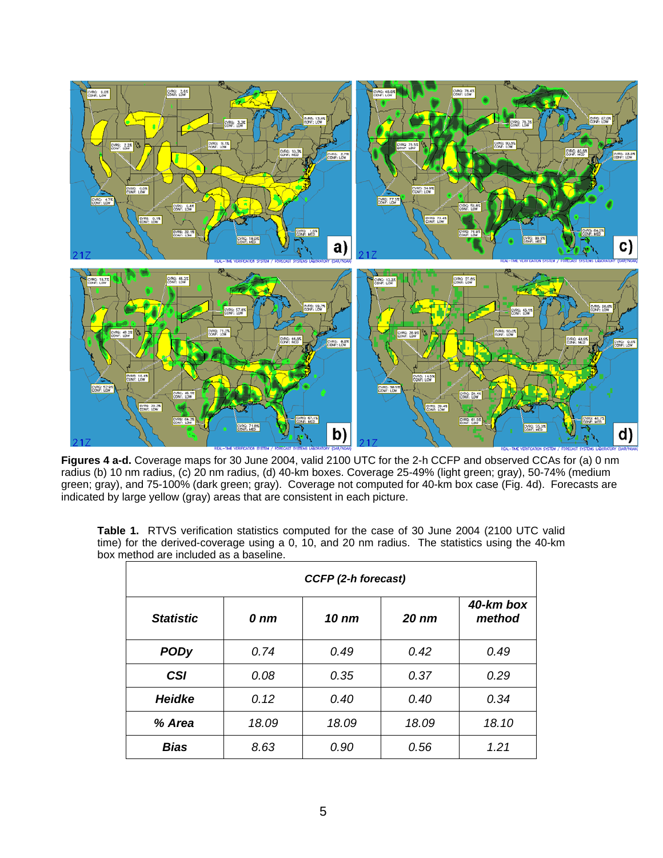

**Figures 4 a-d.** Coverage maps for 30 June 2004, valid 2100 UTC for the 2-h CCFP and observed CCAs for (a) 0 nm radius (b) 10 nm radius, (c) 20 nm radius, (d) 40-km boxes. Coverage 25-49% (light green; gray), 50-74% (medium green; gray), and 75-100% (dark green; gray). Coverage not computed for 40-km box case (Fig. 4d). Forecasts are indicated by large yellow (gray) areas that are consistent in each picture.

**Table 1.** RTVS verification statistics computed for the case of 30 June 2004 (2100 UTC valid time) for the derived-coverage using a 0, 10, and 20 nm radius. The statistics using the 40-km box method are included as a baseline.

| CCFP (2-h forecast) |                  |       |                  |                     |
|---------------------|------------------|-------|------------------|---------------------|
| <b>Statistic</b>    | $0 \, \text{nm}$ | 10 nm | 20 <sub>nm</sub> | 40-km box<br>method |
| <b>PODy</b>         | 0.74             | 0.49  | 0.42             | 0.49                |
| <b>CSI</b>          | 0.08             | 0.35  | 0.37             | 0.29                |
| <b>Heidke</b>       | 0.12             | 0.40  | 0.40             | 0.34                |
| % Area              | 18.09            | 18.09 | 18.09            | 18.10               |
| <b>Bias</b>         | 8.63             | 0.90  | 0.56             | 1.21                |